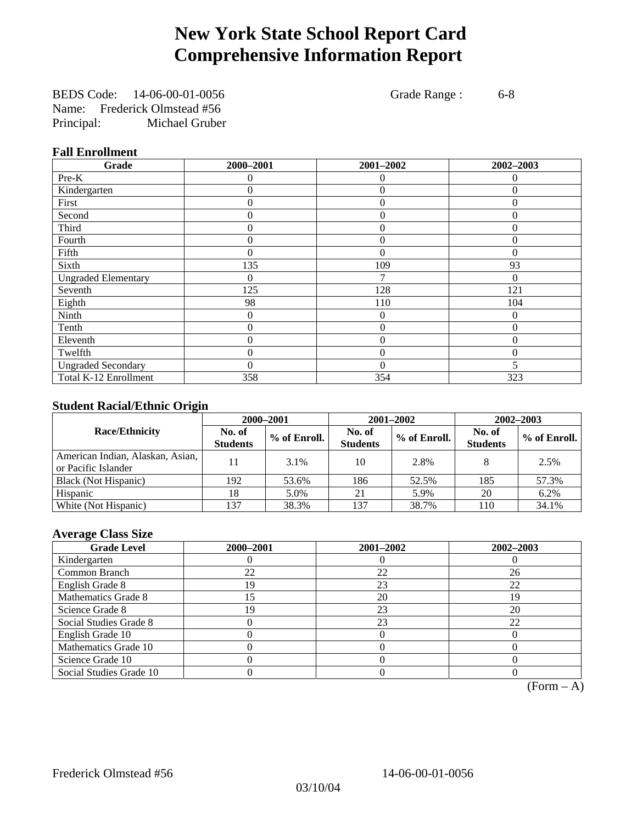# **New York State School Report Card Comprehensive Information Report**

BEDS Code: 14-06-00-01-0056 Grade Range : 6-8 Name: Frederick Olmstead #56 Principal: Michael Gruber

#### **Fall Enrollment**

| Grade                      | 2000-2001 | 2001-2002      | 2002-2003 |
|----------------------------|-----------|----------------|-----------|
| Pre-K                      | $\Omega$  | $\theta$       | $\theta$  |
| Kindergarten               | 0         | $\overline{0}$ | $\Omega$  |
| First                      | 0         | $\theta$       | $\Omega$  |
| Second                     | $\theta$  | $\theta$       | $\Omega$  |
| Third                      | 0         | $\overline{0}$ | $\theta$  |
| Fourth                     | 0         | $\overline{0}$ | $\Omega$  |
| Fifth                      | 0         | $\theta$       | $\Omega$  |
| Sixth                      | 135       | 109            | 93        |
| <b>Ungraded Elementary</b> | 0         | 7              | 0         |
| Seventh                    | 125       | 128            | 121       |
| Eighth                     | 98        | 110            | 104       |
| Ninth                      | 0         | $\theta$       | $\Omega$  |
| Tenth                      | 0         | $\overline{0}$ | 0         |
| Eleventh                   | 0         | $\overline{0}$ | 0         |
| Twelfth                    | $\theta$  | $\overline{0}$ | $\theta$  |
| <b>Ungraded Secondary</b>  | $\theta$  | $\Omega$       | 5         |
| Total K-12 Enrollment      | 358       | 354            | 323       |

#### **Student Racial/Ethnic Origin**

|                                                         |                           | 2000-2001    | 2001-2002                 |              | $2002 - 2003$             |                |
|---------------------------------------------------------|---------------------------|--------------|---------------------------|--------------|---------------------------|----------------|
| <b>Race/Ethnicity</b>                                   | No. of<br><b>Students</b> | % of Enroll. | No. of<br><b>Students</b> | % of Enroll. | No. of<br><b>Students</b> | $%$ of Enroll. |
| American Indian, Alaskan, Asian,<br>or Pacific Islander |                           | 3.1%         | 10                        | 2.8%         |                           | 2.5%           |
| Black (Not Hispanic)                                    | 192                       | 53.6%        | 186                       | 52.5%        | 185                       | 57.3%          |
| Hispanic                                                | 18                        | 5.0%         | 21                        | 5.9%         | 20                        | 6.2%           |
| White (Not Hispanic)                                    | 137                       | 38.3%        | 137                       | 38.7%        | 110                       | 34.1%          |

#### **Average Class Size**

| <b>Grade Level</b>      | 2000-2001 | 2001-2002 | 2002-2003 |
|-------------------------|-----------|-----------|-----------|
| Kindergarten            |           |           |           |
| Common Branch           | 22        | 22        | 26        |
| English Grade 8         | 19        | 23        | 22        |
| Mathematics Grade 8     |           | 20        | 19        |
| Science Grade 8         | 19        | 23        | 20        |
| Social Studies Grade 8  |           | 23        | 22        |
| English Grade 10        |           |           |           |
| Mathematics Grade 10    |           |           |           |
| Science Grade 10        |           |           |           |
| Social Studies Grade 10 |           |           |           |

 $(Form - A)$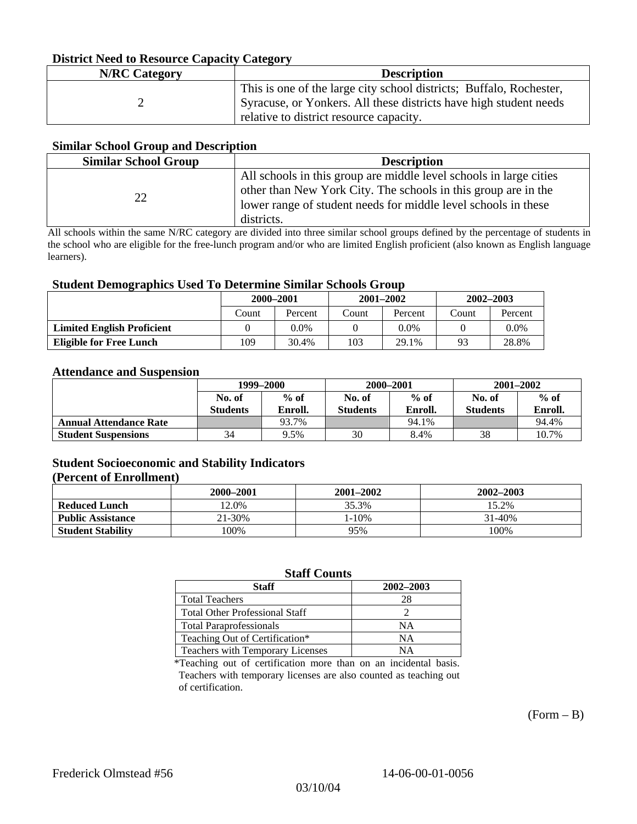#### **District Need to Resource Capacity Category**

| <b>N/RC</b> Category | <b>Description</b>                                                                                                                                                                  |
|----------------------|-------------------------------------------------------------------------------------------------------------------------------------------------------------------------------------|
|                      | This is one of the large city school districts; Buffalo, Rochester,<br>Syracuse, or Yonkers. All these districts have high student needs<br>relative to district resource capacity. |

#### **Similar School Group and Description**

| <b>Similar School Group</b> | <b>Description</b>                                                                                                                                                                                                   |
|-----------------------------|----------------------------------------------------------------------------------------------------------------------------------------------------------------------------------------------------------------------|
| $\mathcal{D}$               | All schools in this group are middle level schools in large cities<br>other than New York City. The schools in this group are in the<br>lower range of student needs for middle level schools in these<br>districts. |

All schools within the same N/RC category are divided into three similar school groups defined by the percentage of students in the school who are eligible for the free-lunch program and/or who are limited English proficient (also known as English language learners).

#### **Student Demographics Used To Determine Similar Schools Group**

| 0                                 | 2000-2001 |         | $2001 - 2002$ |         | $2002 - 2003$ |         |
|-----------------------------------|-----------|---------|---------------|---------|---------------|---------|
|                                   | Count     | Percent | Count         | Percent | Count         | Percent |
| <b>Limited English Proficient</b> |           | 0.0%    |               | $0.0\%$ |               | $0.0\%$ |
| <b>Eligible for Free Lunch</b>    | 109       | 30.4%   | 103           | 29.1%   | -93           | 28.8%   |

#### **Attendance and Suspension**

|                               | 1999-2000                 |                   |                           | 2000-2001         | $2001 - 2002$             |                   |
|-------------------------------|---------------------------|-------------------|---------------------------|-------------------|---------------------------|-------------------|
|                               | No. of<br><b>Students</b> | $%$ of<br>Enroll. | No. of<br><b>Students</b> | $%$ of<br>Enroll. | No. of<br><b>Students</b> | $%$ of<br>Enroll. |
| <b>Annual Attendance Rate</b> |                           | 93.7%             |                           | 94.1%             |                           | 94.4%             |
| <b>Student Suspensions</b>    | 34                        | 9.5%              | 30                        | 8.4%              | 38                        | 10.7%             |

### **Student Socioeconomic and Stability Indicators**

#### **(Percent of Enrollment)**

|                          | 2000-2001 | 2001-2002 | 2002-2003 |
|--------------------------|-----------|-----------|-----------|
| <b>Reduced Lunch</b>     | 12.0%     | 35.3%     | 15.2%     |
| <b>Public Assistance</b> | 21-30%    | 1-10%     | 31-40%    |
| <b>Student Stability</b> | $100\%$   | 95%       | 100%      |

#### **Staff Counts**

| <b>Staff</b>                          | 2002-2003 |
|---------------------------------------|-----------|
| <b>Total Teachers</b>                 | 28        |
| <b>Total Other Professional Staff</b> |           |
| <b>Total Paraprofessionals</b>        | NΑ        |
| Teaching Out of Certification*        | NΑ        |
| Teachers with Temporary Licenses      | NΑ        |

\*Teaching out of certification more than on an incidental basis. Teachers with temporary licenses are also counted as teaching out of certification.

 $(Form - B)$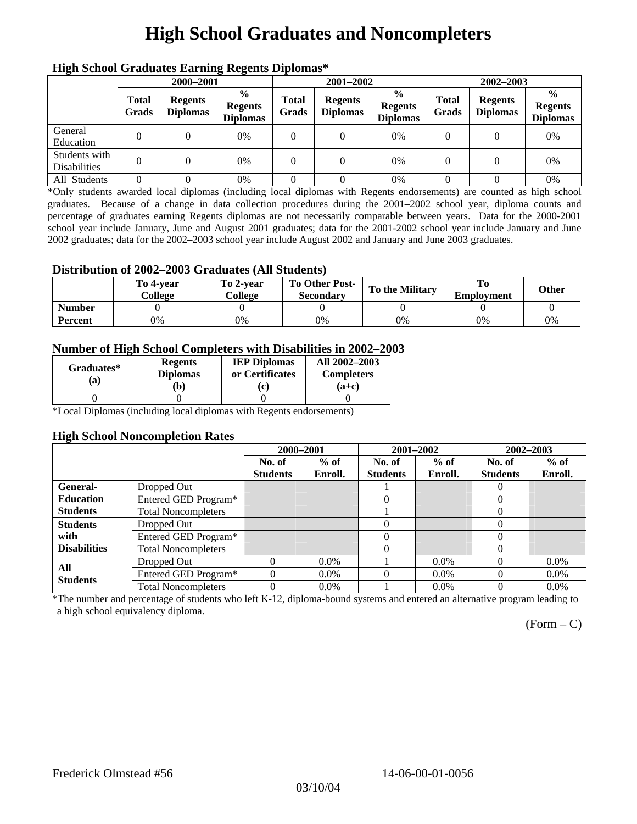# **High School Graduates and Noncompleters**

| ніді эспол этайнакі патінід кеденія вірюшая |                       |                                   |                                                    |                       |                                   |                                                    |                       |                                   |                                                    |  |
|---------------------------------------------|-----------------------|-----------------------------------|----------------------------------------------------|-----------------------|-----------------------------------|----------------------------------------------------|-----------------------|-----------------------------------|----------------------------------------------------|--|
|                                             | 2000-2001             |                                   |                                                    |                       | 2001-2002                         |                                                    |                       | 2002-2003                         |                                                    |  |
|                                             | <b>Total</b><br>Grads | <b>Regents</b><br><b>Diplomas</b> | $\frac{0}{0}$<br><b>Regents</b><br><b>Diplomas</b> | <b>Total</b><br>Grads | <b>Regents</b><br><b>Diplomas</b> | $\frac{6}{6}$<br><b>Regents</b><br><b>Diplomas</b> | <b>Total</b><br>Grads | <b>Regents</b><br><b>Diplomas</b> | $\frac{0}{0}$<br><b>Regents</b><br><b>Diplomas</b> |  |
| General<br>Education                        |                       |                                   | 0%                                                 | 0                     |                                   | 0%                                                 | $\theta$              |                                   | 0%                                                 |  |
| Students with<br><b>Disabilities</b>        |                       |                                   | 0%                                                 | 0                     | $\theta$                          | 0%                                                 | $\theta$              |                                   | 0%                                                 |  |
| All Students                                |                       |                                   | 0%                                                 |                       |                                   | 0%                                                 |                       |                                   | 0%                                                 |  |

### **High School Graduates Earning Regents Diplomas\***

\*Only students awarded local diplomas (including local diplomas with Regents endorsements) are counted as high school graduates. Because of a change in data collection procedures during the 2001–2002 school year, diploma counts and percentage of graduates earning Regents diplomas are not necessarily comparable between years. Data for the 2000-2001 school year include January, June and August 2001 graduates; data for the 2001-2002 school year include January and June 2002 graduates; data for the 2002–2003 school year include August 2002 and January and June 2003 graduates.

#### **Distribution of 2002–2003 Graduates (All Students)**

|               | To 4-vear<br>College | To 2-vear<br>College | <b>To Other Post-</b><br><b>Secondary</b> | <b>To the Military</b> | <b>Employment</b> | Other |
|---------------|----------------------|----------------------|-------------------------------------------|------------------------|-------------------|-------|
| <b>Number</b> |                      |                      |                                           |                        |                   |       |
| Percent       | 0%                   | 0%                   | 0%                                        | 0%                     | 0%                | 0%    |

#### **Number of High School Completers with Disabilities in 2002–2003**

| Graduates*<br>(a) | <b>Regents</b><br><b>Diplomas</b><br>b) | <b>IEP Diplomas</b><br>or Certificates<br>'c) | All 2002-2003<br><b>Completers</b><br>(a+c) |
|-------------------|-----------------------------------------|-----------------------------------------------|---------------------------------------------|
|                   |                                         |                                               |                                             |

\*Local Diplomas (including local diplomas with Regents endorsements)

#### **High School Noncompletion Rates**

|                        |                            | 2000-2001       |         | 2001-2002       |         | 2002-2003       |         |
|------------------------|----------------------------|-----------------|---------|-----------------|---------|-----------------|---------|
|                        |                            | No. of          | $%$ of  | No. of          | $%$ of  | No. of          | $%$ of  |
|                        |                            | <b>Students</b> | Enroll. | <b>Students</b> | Enroll. | <b>Students</b> | Enroll. |
| General-               | Dropped Out                |                 |         |                 |         | $\theta$        |         |
| <b>Education</b>       | Entered GED Program*       |                 |         | $\theta$        |         | $\theta$        |         |
| <b>Students</b>        | <b>Total Noncompleters</b> |                 |         |                 |         | 0               |         |
| <b>Students</b>        | Dropped Out                |                 |         | 0               |         | 0               |         |
| with                   | Entered GED Program*       |                 |         |                 |         | $\theta$        |         |
| <b>Disabilities</b>    | <b>Total Noncompleters</b> |                 |         |                 |         | 0               |         |
| All<br><b>Students</b> | Dropped Out                | $\Omega$        | $0.0\%$ |                 | $0.0\%$ | $\theta$        | $0.0\%$ |
|                        | Entered GED Program*       | $\Omega$        | $0.0\%$ | $\Omega$        | $0.0\%$ | 0               | $0.0\%$ |
|                        | <b>Total Noncompleters</b> | $\Omega$        | $0.0\%$ |                 | $0.0\%$ | 0               | $0.0\%$ |

\*The number and percentage of students who left K-12, diploma-bound systems and entered an alternative program leading to a high school equivalency diploma.

 $(Form - C)$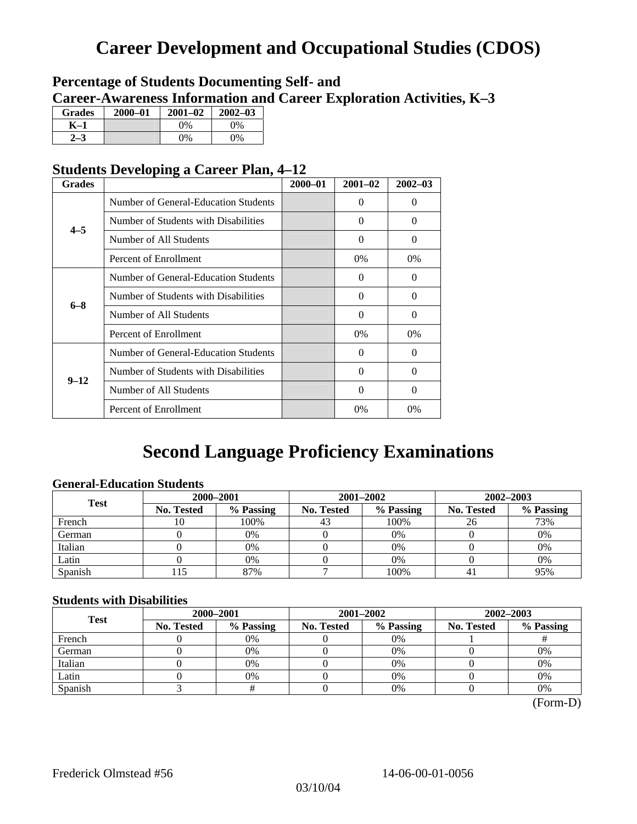## **Career Development and Occupational Studies (CDOS)**

### **Percentage of Students Documenting Self- and Career-Awareness Information and Career Exploration Activities, K–3**

| <b>Grades</b> | 2000-01 | $2001 - 02$ | $2002 - 03$ |
|---------------|---------|-------------|-------------|
| K-1           |         | $0\%$       | $0\%$       |
|               |         | $0\%$       | 0%          |

### **Students Developing a Career Plan, 4–12**

| <b>Grades</b> |                                      | 2000-01 | $2001 - 02$ | $2002 - 03$ |
|---------------|--------------------------------------|---------|-------------|-------------|
|               | Number of General-Education Students |         | $\Omega$    | $\Omega$    |
| $4 - 5$       | Number of Students with Disabilities |         | $\Omega$    | $\Omega$    |
|               | Number of All Students               |         | $\Omega$    | $\Omega$    |
|               | Percent of Enrollment                |         | 0%          | 0%          |
|               | Number of General-Education Students |         | $\Omega$    | $\Omega$    |
|               | Number of Students with Disabilities |         | $\Omega$    | $\Omega$    |
| $6 - 8$       | Number of All Students               |         | $\Omega$    | $\Omega$    |
|               | Percent of Enrollment                |         | $0\%$       | $0\%$       |
|               | Number of General-Education Students |         | $\Omega$    | $\Omega$    |
| $9 - 12$      | Number of Students with Disabilities |         | $\Omega$    | $\Omega$    |
|               | Number of All Students               |         | $\Omega$    | $\Omega$    |
|               | Percent of Enrollment                |         | 0%          | $0\%$       |

## **Second Language Proficiency Examinations**

### **General-Education Students**

| <b>Test</b> | 2000-2001         |           |            | 2001-2002 | 2002-2003  |           |  |
|-------------|-------------------|-----------|------------|-----------|------------|-----------|--|
|             | <b>No. Tested</b> | % Passing | No. Tested | % Passing | No. Tested | % Passing |  |
| French      | 10                | 100%      | 43         | 100%      | 26         | 73%       |  |
| German      |                   | 0%        |            | $0\%$     |            | 0%        |  |
| Italian     |                   | $0\%$     |            | $0\%$     |            | 0%        |  |
| Latin       |                   | 0%        |            | 0%        |            | 0%        |  |
| Spanish     |                   | 87%       |            | 100%      |            | 95%       |  |

#### **Students with Disabilities**

| <b>Test</b> | 2000-2001         |           |            | 2001-2002 | $2002 - 2003$ |           |  |
|-------------|-------------------|-----------|------------|-----------|---------------|-----------|--|
|             | <b>No. Tested</b> | % Passing | No. Tested | % Passing | No. Tested    | % Passing |  |
| French      |                   | 0%        |            | 0%        |               |           |  |
| German      |                   | 0%        |            | 0%        |               | 0%        |  |
| Italian     |                   | 0%        |            | 0%        |               | 0%        |  |
| Latin       |                   | 0%        |            | $0\%$     |               | 0%        |  |
| Spanish     |                   |           |            | 0%        |               | 0%        |  |

 <sup>(</sup>Form-D)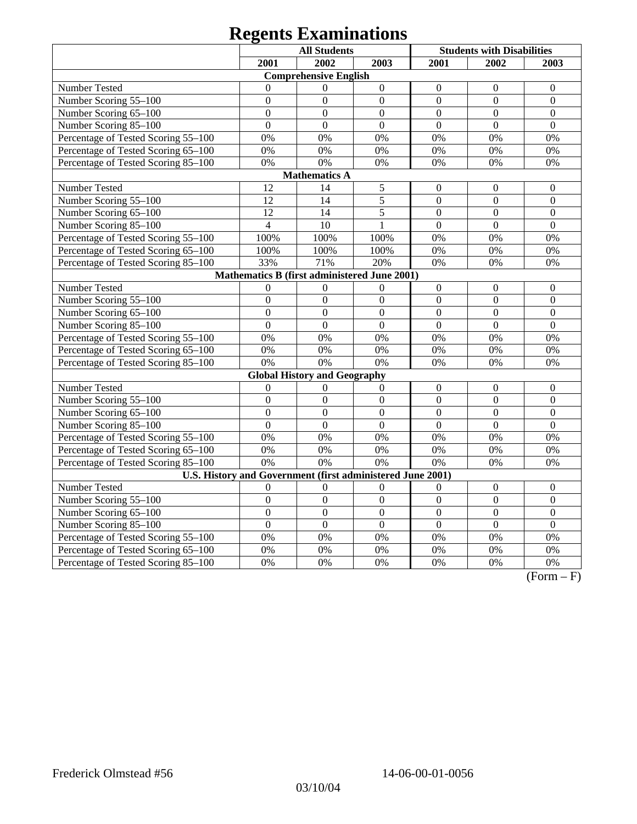# **Regents Examinations**

|                                                                                            | <b>All Students</b> |                                     |                  |                  | <b>Students with Disabilities</b> |                  |  |  |  |
|--------------------------------------------------------------------------------------------|---------------------|-------------------------------------|------------------|------------------|-----------------------------------|------------------|--|--|--|
|                                                                                            | 2001                | 2002                                | 2003             | 2001             | 2002                              | 2003             |  |  |  |
|                                                                                            |                     | <b>Comprehensive English</b>        |                  |                  |                                   |                  |  |  |  |
| Number Tested                                                                              | $\theta$            | $\Omega$                            | $\boldsymbol{0}$ | $\mathbf{0}$     | $\boldsymbol{0}$                  | $\boldsymbol{0}$ |  |  |  |
| Number Scoring 55-100                                                                      | $\overline{0}$      | $\mathbf{0}$                        | $\overline{0}$   | $\overline{0}$   | $\mathbf{0}$                      | $\boldsymbol{0}$ |  |  |  |
| Number Scoring 65-100                                                                      | $\overline{0}$      | $\overline{0}$                      | $\mathbf{0}$     | $\overline{0}$   | $\mathbf{0}$                      | $\mathbf{0}$     |  |  |  |
| Number Scoring 85-100                                                                      | $\overline{0}$      | $\overline{0}$                      | $\overline{0}$   | $\overline{0}$   | $\overline{0}$                    | $\overline{0}$   |  |  |  |
| Percentage of Tested Scoring 55-100                                                        | 0%                  | 0%                                  | 0%               | 0%               | 0%                                | 0%               |  |  |  |
| Percentage of Tested Scoring 65-100                                                        | 0%                  | 0%                                  | 0%               | 0%               | 0%                                | 0%               |  |  |  |
| Percentage of Tested Scoring 85-100                                                        | 0%                  | 0%                                  | 0%               | 0%               | 0%                                | 0%               |  |  |  |
|                                                                                            |                     | <b>Mathematics A</b>                |                  |                  |                                   |                  |  |  |  |
| 12<br>14<br>Number Tested<br>5<br>$\boldsymbol{0}$<br>$\boldsymbol{0}$<br>$\boldsymbol{0}$ |                     |                                     |                  |                  |                                   |                  |  |  |  |
| Number Scoring 55-100                                                                      | 12                  | 14                                  | 5                | $\overline{0}$   | $\overline{0}$                    | $\mathbf{0}$     |  |  |  |
| Number Scoring 65-100                                                                      | 12                  | 14                                  | 5                | $\mathbf{0}$     | $\boldsymbol{0}$                  | $\boldsymbol{0}$ |  |  |  |
| Number Scoring 85-100                                                                      | $\overline{4}$      | 10                                  | $\mathbf{1}$     | $\mathbf{0}$     | $\mathbf{0}$                      | $\mathbf{0}$     |  |  |  |
| Percentage of Tested Scoring 55-100                                                        | 100%                | 100%                                | 100%             | 0%               | 0%                                | 0%               |  |  |  |
| Percentage of Tested Scoring 65-100                                                        | 100%                | 100%                                | 100%             | 0%               | 0%                                | 0%               |  |  |  |
| Percentage of Tested Scoring 85-100                                                        | 33%                 | 71%                                 | 20%              | 0%               | 0%                                | 0%               |  |  |  |
| Mathematics B (first administered June 2001)                                               |                     |                                     |                  |                  |                                   |                  |  |  |  |
| Number Tested                                                                              | $\theta$            | $\Omega$                            | $\Omega$         | $\boldsymbol{0}$ | $\boldsymbol{0}$                  | $\boldsymbol{0}$ |  |  |  |
| Number Scoring 55-100                                                                      | $\overline{0}$      | $\overline{0}$                      | $\overline{0}$   | $\overline{0}$   | $\overline{0}$                    | $\overline{0}$   |  |  |  |
| Number Scoring 65-100                                                                      | $\overline{0}$      | $\mathbf{0}$                        | $\overline{0}$   | $\mathbf{0}$     | $\overline{0}$                    | $\overline{0}$   |  |  |  |
| Number Scoring 85-100                                                                      | $\overline{0}$      | $\mathbf{0}$                        | $\overline{0}$   | $\overline{0}$   | $\overline{0}$                    | $\overline{0}$   |  |  |  |
| Percentage of Tested Scoring 55-100                                                        | 0%                  | 0%                                  | 0%               | 0%               | 0%                                | 0%               |  |  |  |
| Percentage of Tested Scoring 65-100                                                        | 0%                  | 0%                                  | 0%               | 0%               | 0%                                | 0%               |  |  |  |
| Percentage of Tested Scoring 85-100                                                        | 0%                  | 0%                                  | 0%               | 0%               | 0%                                | 0%               |  |  |  |
|                                                                                            |                     | <b>Global History and Geography</b> |                  |                  |                                   |                  |  |  |  |
| Number Tested                                                                              | $\mathbf{0}$        | $\mathbf{0}$                        | $\mathbf{0}$     | $\mathbf{0}$     | $\mathbf{0}$                      | $\boldsymbol{0}$ |  |  |  |
| Number Scoring 55-100                                                                      | $\overline{0}$      | $\mathbf{0}$                        | $\overline{0}$   | $\overline{0}$   | $\overline{0}$                    | $\boldsymbol{0}$ |  |  |  |
| Number Scoring 65-100                                                                      | $\overline{0}$      | $\overline{0}$                      | $\boldsymbol{0}$ | $\overline{0}$   | $\overline{0}$                    | $\boldsymbol{0}$ |  |  |  |
| Number Scoring 85-100                                                                      | $\overline{0}$      | $\overline{0}$                      | $\overline{0}$   | $\overline{0}$   | $\overline{0}$                    | $\Omega$         |  |  |  |
| Percentage of Tested Scoring 55-100                                                        | 0%                  | 0%                                  | 0%               | 0%               | 0%                                | 0%               |  |  |  |
| Percentage of Tested Scoring 65-100                                                        | 0%                  | 0%                                  | 0%               | 0%               | 0%                                | 0%               |  |  |  |
| Percentage of Tested Scoring 85-100                                                        | 0%                  | 0%                                  | 0%               | 0%               | 0%                                | 0%               |  |  |  |
| U.S. History and Government (first administered June 2001)                                 |                     |                                     |                  |                  |                                   |                  |  |  |  |
| Number Tested                                                                              | $\theta$            | $\boldsymbol{0}$                    | $\boldsymbol{0}$ | $\theta$         | $\boldsymbol{0}$                  | $\boldsymbol{0}$ |  |  |  |
| Number Scoring 55-100                                                                      | $\overline{0}$      | $\overline{0}$                      | $\overline{0}$   | $\overline{0}$   | $\overline{0}$                    | $\overline{0}$   |  |  |  |
| Number Scoring 65-100                                                                      | $\overline{0}$      | $\overline{0}$                      | $\overline{0}$   | $\overline{0}$   | $\overline{0}$                    | $\mathbf{0}$     |  |  |  |
| Number Scoring 85-100                                                                      | $\overline{0}$      | $\overline{0}$                      | $\overline{0}$   | $\overline{0}$   | $\overline{0}$                    | $\overline{0}$   |  |  |  |
| Percentage of Tested Scoring 55-100                                                        | 0%                  | 0%                                  | 0%               | 0%               | 0%                                | 0%               |  |  |  |
| Percentage of Tested Scoring 65-100                                                        | 0%                  | 0%                                  | 0%               | 0%               | 0%                                | 0%               |  |  |  |
| Percentage of Tested Scoring 85-100                                                        | 0%                  | 0%                                  | 0%               | 0%               | 0%                                | 0%               |  |  |  |

 $(Form - F)$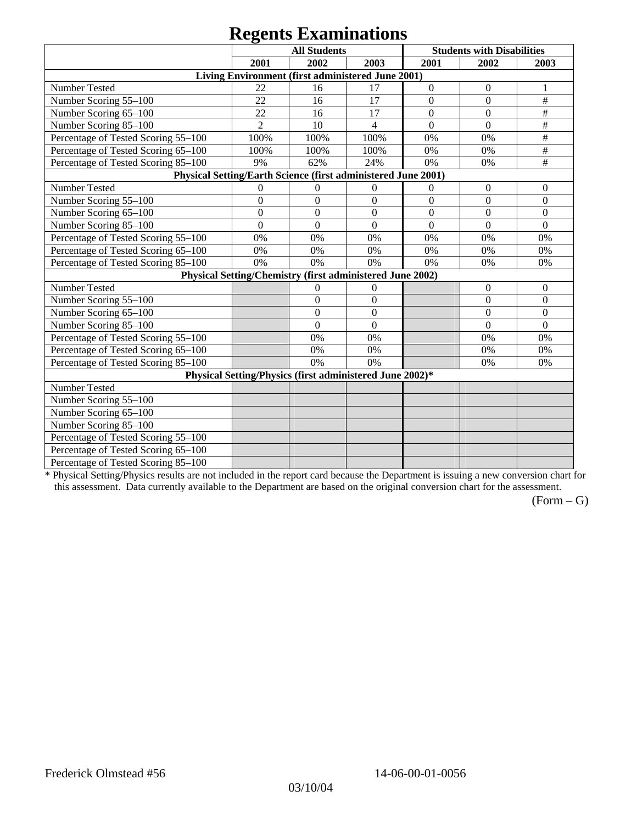## **Regents Examinations**

|                                                               | 8°-<br><b>All Students</b> |                  |                                                           |                  | <b>Students with Disabilities</b> |                  |  |  |
|---------------------------------------------------------------|----------------------------|------------------|-----------------------------------------------------------|------------------|-----------------------------------|------------------|--|--|
|                                                               | 2001                       | 2002             | 2003                                                      | 2001             | 2002                              | 2003             |  |  |
|                                                               |                            |                  | Living Environment (first administered June 2001)         |                  |                                   |                  |  |  |
| Number Tested                                                 | 22                         | 16               | 17                                                        | $\boldsymbol{0}$ | $\boldsymbol{0}$                  | 1                |  |  |
| Number Scoring 55-100                                         | 22                         | 16               | 17                                                        | $\overline{0}$   | $\overline{0}$                    | $\#$             |  |  |
| Number Scoring 65-100                                         | 22                         | 16               | 17                                                        | $\overline{0}$   | $\mathbf{0}$                      | $\#$             |  |  |
| Number Scoring 85-100                                         | $\overline{2}$             | 10               | $\overline{4}$                                            | $\boldsymbol{0}$ | $\boldsymbol{0}$                  | $\#$             |  |  |
| Percentage of Tested Scoring 55-100                           | 100%                       | 100%             | 100%                                                      | 0%               | 0%                                | $\#$             |  |  |
| Percentage of Tested Scoring 65-100                           | 100%                       | 100%             | 100%                                                      | 0%               | 0%                                | $\#$             |  |  |
| Percentage of Tested Scoring 85-100                           | 9%                         | 62%              | 24%                                                       | 0%               | 0%                                | $\#$             |  |  |
| Physical Setting/Earth Science (first administered June 2001) |                            |                  |                                                           |                  |                                   |                  |  |  |
| Number Tested                                                 | $\mathbf{0}$               | $\boldsymbol{0}$ | $\boldsymbol{0}$                                          | $\boldsymbol{0}$ | $\boldsymbol{0}$                  | $\mathbf{0}$     |  |  |
| Number Scoring 55-100                                         | $\overline{0}$             | $\overline{0}$   | $\overline{0}$                                            | $\overline{0}$   | $\overline{0}$                    | $\overline{0}$   |  |  |
| Number Scoring 65-100                                         | $\overline{0}$             | $\mathbf{0}$     | $\overline{0}$                                            | $\overline{0}$   | $\overline{0}$                    | $\overline{0}$   |  |  |
| Number Scoring 85-100                                         | $\mathbf{0}$               | $\mathbf{0}$     | $\mathbf{0}$                                              | $\overline{0}$   | $\mathbf{0}$                      | $\boldsymbol{0}$ |  |  |
| Percentage of Tested Scoring 55-100                           | 0%                         | 0%               | 0%                                                        | 0%               | 0%                                | 0%               |  |  |
| Percentage of Tested Scoring 65-100                           | 0%                         | 0%               | 0%                                                        | 0%               | 0%                                | 0%               |  |  |
| Percentage of Tested Scoring 85-100                           | 0%                         | 0%               | 0%                                                        | 0%               | 0%                                | 0%               |  |  |
|                                                               |                            |                  | Physical Setting/Chemistry (first administered June 2002) |                  |                                   |                  |  |  |
| Number Tested                                                 |                            | $\mathbf{0}$     | $\mathbf{0}$                                              |                  | $\theta$                          | $\theta$         |  |  |
| Number Scoring 55-100                                         |                            | $\overline{0}$   | $\mathbf{0}$                                              |                  | $\theta$                          | $\overline{0}$   |  |  |
| Number Scoring 65-100                                         |                            | $\mathbf{0}$     | $\Omega$                                                  |                  | $\theta$                          | $\theta$         |  |  |
| Number Scoring 85-100                                         |                            | $\overline{0}$   | $\mathbf{0}$                                              |                  | $\overline{0}$                    | $\mathbf{0}$     |  |  |
| Percentage of Tested Scoring 55-100                           |                            | 0%               | 0%                                                        |                  | 0%                                | 0%               |  |  |
| Percentage of Tested Scoring 65-100                           |                            | 0%               | 0%                                                        |                  | 0%                                | 0%               |  |  |
| Percentage of Tested Scoring 85-100                           |                            | 0%               | 0%                                                        |                  | 0%                                | 0%               |  |  |
| Physical Setting/Physics (first administered June 2002)*      |                            |                  |                                                           |                  |                                   |                  |  |  |
| Number Tested                                                 |                            |                  |                                                           |                  |                                   |                  |  |  |
| Number Scoring 55-100                                         |                            |                  |                                                           |                  |                                   |                  |  |  |
| Number Scoring 65-100                                         |                            |                  |                                                           |                  |                                   |                  |  |  |
| Number Scoring 85-100                                         |                            |                  |                                                           |                  |                                   |                  |  |  |
| Percentage of Tested Scoring 55-100                           |                            |                  |                                                           |                  |                                   |                  |  |  |
| Percentage of Tested Scoring 65-100                           |                            |                  |                                                           |                  |                                   |                  |  |  |
| Percentage of Tested Scoring 85-100                           |                            |                  |                                                           |                  |                                   |                  |  |  |

\* Physical Setting/Physics results are not included in the report card because the Department is issuing a new conversion chart for this assessment. Data currently available to the Department are based on the original conversion chart for the assessment.

 $(Form - G)$